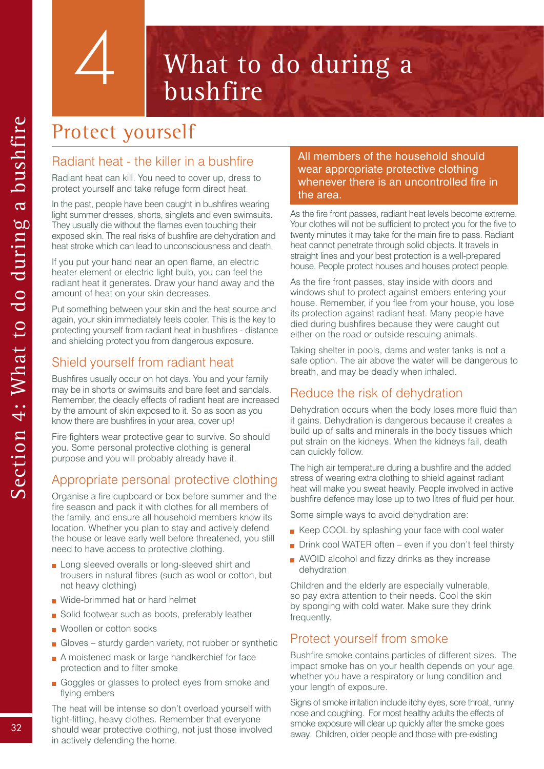# What to do during a bushfire

# Protect yourself

4

### Radiant heat - the killer in a bushfire

Radiant heat can kill. You need to cover up, dress to protect yourself and take refuge form direct heat.

In the past, people have been caught in bushfires wearing light summer dresses, shorts, singlets and even swimsuits. They usually die without the flames even touching their exposed skin. The real risks of bushfire are dehydration and heat stroke which can lead to unconsciousness and death.

If you put your hand near an open flame, an electric heater element or electric light bulb, you can feel the radiant heat it generates. Draw your hand away and the amount of heat on your skin decreases.

Put something between your skin and the heat source and again, your skin immediately feels cooler. This is the key to protecting yourself from radiant heat in bushfires - distance and shielding protect you from dangerous exposure.

# Shield yourself from radiant heat

Bushfires usually occur on hot days. You and your family may be in shorts or swimsuits and bare feet and sandals. Remember, the deadly effects of radiant heat are increased by the amount of skin exposed to it. So as soon as you know there are bushfires in your area, cover up!

Fire fighters wear protective gear to survive. So should you. Some personal protective clothing is general purpose and you will probably already have it.

# Appropriate personal protective clothing

Organise a fire cupboard or box before summer and the fire season and pack it with clothes for all members of the family, and ensure all household members know its location. Whether you plan to stay and actively defend the house or leave early well before threatened, you still need to have access to protective clothing.

- **Long sleeved overalls or long-sleeved shirt and** trousers in natural fibres (such as wool or cotton, but not heavy clothing)
- Wide-brimmed hat or hard helmet
- Solid footwear such as boots, preferably leather
- Woollen or cotton socks
- Gloves sturdy garden variety, not rubber or synthetic
- A moistened mask or large handkerchief for face protection and to filter smoke
- Goggles or glasses to protect eyes from smoke and flying embers

The heat will be intense so don't overload yourself with tight-fitting, heavy clothes. Remember that everyone should wear protective clothing, not just those involved in actively defending the home.

### All members of the household should wear appropriate protective clothing whenever there is an uncontrolled fire in the area.

As the fire front passes, radiant heat levels become extreme. Your clothes will not be sufficient to protect you for the five to twenty minutes it may take for the main fire to pass. Radiant heat cannot penetrate through solid objects. It travels in straight lines and your best protection is a well-prepared house. People protect houses and houses protect people.

As the fire front passes, stay inside with doors and windows shut to protect against embers entering your house. Remember, if you flee from your house, you lose its protection against radiant heat. Many people have died during bushfires because they were caught out either on the road or outside rescuing animals.

Taking shelter in pools, dams and water tanks is not a safe option. The air above the water will be dangerous to breath, and may be deadly when inhaled.

# Reduce the risk of dehydration

Dehydration occurs when the body loses more fluid than it gains. Dehydration is dangerous because it creates a build up of salts and minerals in the body tissues which put strain on the kidneys. When the kidneys fail, death can quickly follow.

The high air temperature during a bushfire and the added stress of wearing extra clothing to shield against radiant heat will make you sweat heavily. People involved in active bushfire defence may lose up to two litres of fluid per hour.

Some simple ways to avoid dehydration are:

- Keep COOL by splashing your face with cool water
- $\blacksquare$  Drink cool WATER often even if you don't feel thirsty
- **NOID** alcohol and fizzy drinks as they increase dehydration

Children and the elderly are especially vulnerable, so pay extra attention to their needs. Cool the skin by sponging with cold water. Make sure they drink frequently.

### Protect yourself from smoke

Bushfire smoke contains particles of different sizes. The impact smoke has on your health depends on your age, whether you have a respiratory or lung condition and your length of exposure.

Signs of smoke irritation include itchy eyes, sore throat, runny nose and coughing. For most healthy adults the effects of smoke exposure will clear up quickly after the smoke goes away. Children, older people and those with pre-existing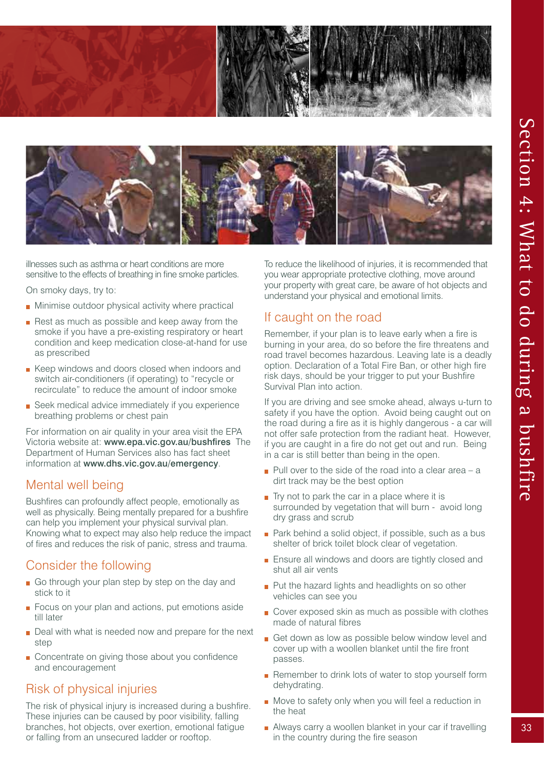



illnesses such as asthma or heart conditions are more sensitive to the effects of breathing in fine smoke particles.

On smoky days, try to:

- **Minimise outdoor physical activity where practical**
- $\blacksquare$  Rest as much as possible and keep away from the smoke if you have a pre-existing respiratory or heart condition and keep medication close-at-hand for use as prescribed
- Keep windows and doors closed when indoors and switch air-conditioners (if operating) to "recycle or recirculate" to reduce the amount of indoor smoke
- Seek medical advice immediately if you experience breathing problems or chest pain

For information on air quality in your area visit the EPA Victoria website at: www.epa.vic.gov.au/bushfires The Department of Human Services also has fact sheet information at www.dhs.vic.gov.au/emergency.

### Mental well being

Bushfires can profoundly affect people, emotionally as well as physically. Being mentally prepared for a bushfire can help you implement your physical survival plan. Knowing what to expect may also help reduce the impact of fires and reduces the risk of panic, stress and trauma.

# Consider the following

- Go through your plan step by step on the day and stick to it
- Focus on your plan and actions, put emotions aside till later
- Deal with what is needed now and prepare for the next step
- Concentrate on giving those about you confidence and encouragement

### Risk of physical injuries

The risk of physical injury is increased during a bushfire. These injuries can be caused by poor visibility, falling branches, hot objects, over exertion, emotional fatigue or falling from an unsecured ladder or rooftop.

To reduce the likelihood of injuries, it is recommended that you wear appropriate protective clothing, move around your property with great care, be aware of hot objects and understand your physical and emotional limits.

### If caught on the road

Remember, if your plan is to leave early when a fire is burning in your area, do so before the fire threatens and road travel becomes hazardous. Leaving late is a deadly option. Declaration of a Total Fire Ban, or other high fire risk days, should be your trigger to put your Bushfire Survival Plan into action.

If you are driving and see smoke ahead, always u-turn to safety if you have the option. Avoid being caught out on the road during a fire as it is highly dangerous - a car will not offer safe protection from the radiant heat. However, if you are caught in a fire do not get out and run. Being in a car is still better than being in the open.

- $\blacksquare$  Pull over to the side of the road into a clear area a dirt track may be the best option
- $\blacksquare$  Try not to park the car in a place where it is surrounded by vegetation that will burn - avoid long dry grass and scrub
- Park behind a solid object, if possible, such as a bus shelter of brick toilet block clear of vegetation.
- **Ensure all windows and doors are tightly closed and** shut all air vents
- Put the hazard lights and headlights on so other vehicles can see you
- Cover exposed skin as much as possible with clothes made of natural fibres
- Get down as low as possible below window level and cover up with a woollen blanket until the fire front passes.
- Remember to drink lots of water to stop yourself form dehydrating.
- Move to safety only when you will feel a reduction in the heat
- Always carry a woollen blanket in your car if travelling in the country during the fire season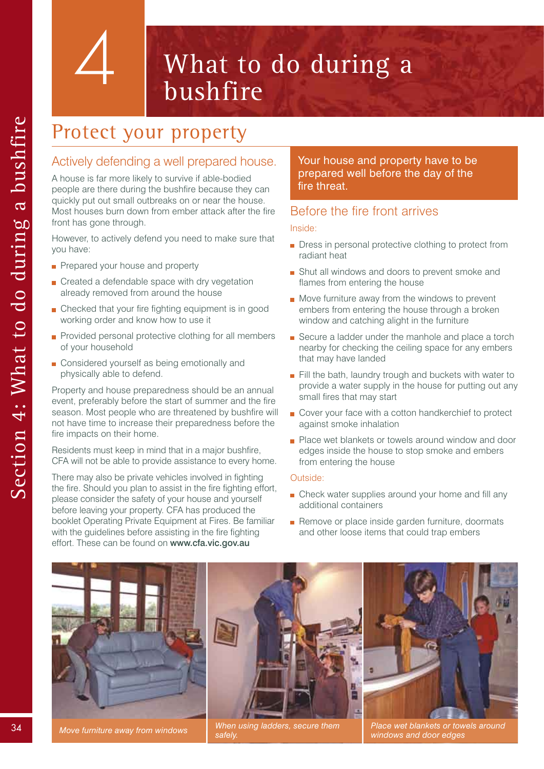4

# What to do during a bushfire

# Protect your property

### Actively defending a well prepared house.

A house is far more likely to survive if able-bodied people are there during the bushfire because they can quickly put out small outbreaks on or near the house. Most houses burn down from ember attack after the fire front has gone through.

However, to actively defend you need to make sure that you have:

- Prepared your house and property
- Created a defendable space with dry vegetation already removed from around the house
- **n** Checked that your fire fighting equipment is in good working order and know how to use it
- Provided personal protective clothing for all members of your household
- Considered yourself as being emotionally and physically able to defend.

Property and house preparedness should be an annual event, preferably before the start of summer and the fire season. Most people who are threatened by bushfire will not have time to increase their preparedness before the fire impacts on their home.

Residents must keep in mind that in a major bushfire, CFA will not be able to provide assistance to every home.

There may also be private vehicles involved in fighting the fire. Should you plan to assist in the fire fighting effort, please consider the safety of your house and yourself before leaving your property. CFA has produced the booklet Operating Private Equipment at Fires. Be familiar with the guidelines before assisting in the fire fighting effort. These can be found on www.cfa.vic.gov.au

Your house and property have to be prepared well before the day of the fire threat.

### Before the fire front arrives

#### Inside:

- **Dress in personal protective clothing to protect from** radiant heat
- **B** Shut all windows and doors to prevent smoke and flames from entering the house
- Move furniture away from the windows to prevent embers from entering the house through a broken window and catching alight in the furniture
- Secure a ladder under the manhole and place a torch nearby for checking the ceiling space for any embers that may have landed
- Fill the bath, laundry trough and buckets with water to provide a water supply in the house for putting out any small fires that may start
- Cover your face with a cotton handkerchief to protect against smoke inhalation
- **Place wet blankets or towels around window and door** edges inside the house to stop smoke and embers from entering the house

### Outside:

- **Check water supplies around your home and fill any** additional containers
- Remove or place inside garden furniture, doormats and other loose items that could trap embers



*safely.*

*Place wet blankets or towels around Place wet blankets or towels around Place wet blankets or towels around windows* **and door adges.** *windows and door edges*